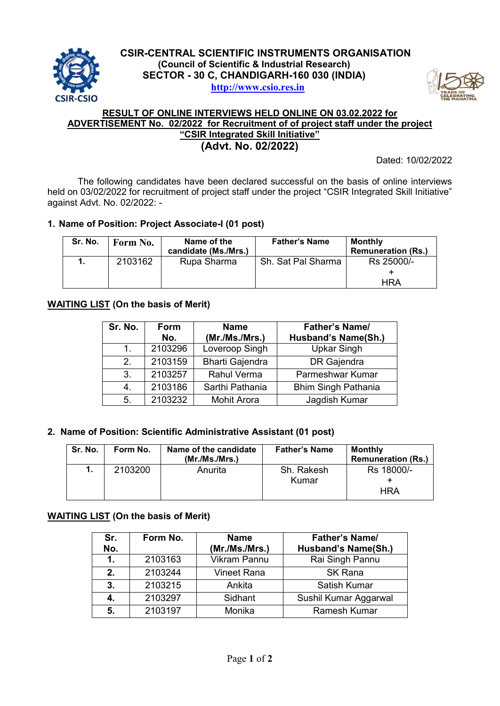



## **RESULT OF ONLINE INTERVIEWS HELD ONLINE ON 03.02.2022 for ADVERTISEMENT No. 02/2022 for Recruitment of of project staff under the project "CSIR Integrated Skill Initiative" (Advt. No. 02/2022)**

Dated: 10/02/2022

The following candidates have been declared successful on the basis of online interviews held on 03/02/2022 for recruitment of project staff under the project "CSIR Integrated Skill Initiative" against Advt. No. 02/2022: -

# **1. Name of Position: Project Associate-I (01 post)**

| Sr. No. | Form No. | Name of the<br>candidate (Ms./Mrs.) | <b>Father's Name</b> | <b>Monthly</b><br><b>Remuneration (Rs.)</b> |
|---------|----------|-------------------------------------|----------------------|---------------------------------------------|
|         | 2103162  | Rupa Sharma                         | Sh. Sat Pal Sharma   | Rs 25000/-                                  |
|         |          |                                     |                      |                                             |
|         |          |                                     |                      | HRA                                         |

## **WAITING LIST (On the basis of Merit)**

| Sr. No.       | Form<br>No. | <b>Name</b><br>(Mr./Ms./Mrs.) | <b>Father's Name/</b><br>Husband's Name(Sh.) |
|---------------|-------------|-------------------------------|----------------------------------------------|
| 1             | 2103296     | Loveroop Singh                | <b>Upkar Singh</b>                           |
| $\mathcal{P}$ | 2103159     | <b>Bharti Gajendra</b>        | DR Gajendra                                  |
| 3.            | 2103257     | <b>Rahul Verma</b>            | Parmeshwar Kumar                             |
| 4.            | 2103186     | Sarthi Pathania               | <b>Bhim Singh Pathania</b>                   |
| 5.            | 2103232     | <b>Mohit Arora</b>            | Jagdish Kumar                                |

#### **2. Name of Position: Scientific Administrative Assistant (01 post)**

| Sr. No. | Form No. | Name of the candidate<br>(Mr./Ms./Mrs.) | <b>Father's Name</b> | <b>Monthly</b><br><b>Remuneration (Rs.)</b> |
|---------|----------|-----------------------------------------|----------------------|---------------------------------------------|
|         | 2103200  | Anurita                                 | Sh. Rakesh<br>Kumar  | Rs 18000/-<br>HRA                           |

#### **WAITING LIST (On the basis of Merit)**

| Sr.<br>No.     | Form No. | <b>Name</b><br>(Mr./Ms./Mrs.) | <b>Father's Name/</b><br><b>Husband's Name(Sh.)</b> |
|----------------|----------|-------------------------------|-----------------------------------------------------|
| $\mathbf 1$ .  | 2103163  | <b>Vikram Pannu</b>           | Rai Singh Pannu                                     |
| 2.             | 2103244  | <b>Vineet Rana</b>            | <b>SK Rana</b>                                      |
| 3 <sub>1</sub> | 2103215  | Ankita                        | Satish Kumar                                        |
| 4.             | 2103297  | Sidhant                       | Sushil Kumar Aggarwal                               |
| 5.             | 2103197  | Monika                        | <b>Ramesh Kumar</b>                                 |